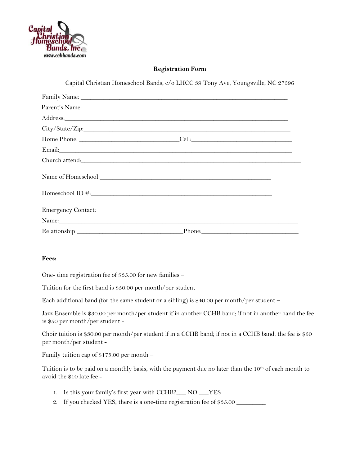

## **Registration Form**

Capital Christian Homeschool Bands, c/o LHCC 39 Tony Ave, Youngsville, NC 27596

|                           | Address: Andreas Address: Address: Address: Address: Address: Address: Address: Address: Address: Address: Address: Address: Address: Address: Address: Address: Address: Address: Address: Address: Address: Address: Address |  |
|---------------------------|--------------------------------------------------------------------------------------------------------------------------------------------------------------------------------------------------------------------------------|--|
|                           |                                                                                                                                                                                                                                |  |
|                           |                                                                                                                                                                                                                                |  |
|                           |                                                                                                                                                                                                                                |  |
|                           |                                                                                                                                                                                                                                |  |
|                           |                                                                                                                                                                                                                                |  |
|                           |                                                                                                                                                                                                                                |  |
| <b>Emergency Contact:</b> |                                                                                                                                                                                                                                |  |
|                           | Name: Name and the second contract of the second contract of the second contract of the second contract of the second contract of the second contract of the second contract of the second contract of the second contract of  |  |
|                           |                                                                                                                                                                                                                                |  |

## **Fees:**

One- time registration fee of \$35.00 for new families –

Tuition for the first band is \$50.00 per month/per student –

Each additional band (for the same student or a sibling) is \$40.00 per month/per student –

Jazz Ensemble is \$30.00 per month/per student if in another CCHB band; if not in another band the fee is \$50 per month/per student -

Choir tuition is \$30.00 per month/per student if in a CCHB band; if not in a CCHB band, the fee is \$50 per month/per student -

Family tuition cap of \$175.00 per month –

Tuition is to be paid on a monthly basis, with the payment due no later than the 10th of each month to avoid the \$10 late fee -

- 1. Is this your family's first year with CCHB?\_\_\_ NO \_\_\_YES
- 2. If you checked YES, there is a one-time registration fee of \$35.00  $\_\_$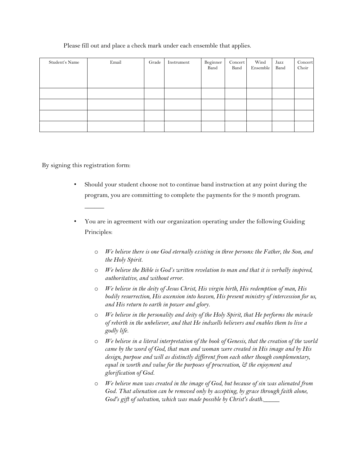## Please fill out and place a check mark under each ensemble that applies.

| Student's Name | Email | Grade | Instrument | Beginner<br>Band | Concert<br>Band | Wind<br>Ensemble | Jazz<br>Band | Concert<br>Choir |
|----------------|-------|-------|------------|------------------|-----------------|------------------|--------------|------------------|
|                |       |       |            |                  |                 |                  |              |                  |
|                |       |       |            |                  |                 |                  |              |                  |
|                |       |       |            |                  |                 |                  |              |                  |
|                |       |       |            |                  |                 |                  |              |                  |

By signing this registration form:

 $\overline{\phantom{a}}$ 

- Should your student choose not to continue band instruction at any point during the program, you are committing to complete the payments for the 9 month program.
- You are in agreement with our organization operating under the following Guiding Principles:
	- o *We believe there is one God eternally existing in three persons: the Father, the Son, and the Holy Spirit.*
	- o *We believe the Bible is God's written revelation to man and that it is verbally inspired, authoritative, and without error.*
	- o *We believe in the deity of Jesus Christ, His virgin birth, His redemption of man, His bodily resurrection, His ascension into heaven, His present ministry of intercession for us, and His return to earth in power and glory.*
	- o *We believe in the personality and deity of the Holy Spirit, that He performs the miracle of rebirth in the unbeliever, and that He indwells believers and enables them to live a godly life.*
	- o *We believe in a literal interpretation of the book of Genesis, that the creation of the world came by the word of God, that man and woman were created in His image and by His design, purpose and will as distinctly different from each other though complementary, equal in worth and value for the purposes of procreation, & the enjoyment and glorification of God.*
	- o *We believe man was created in the image of God, but because of sin was alienated from*  God. That alienation can be removed only by accepting, by grace through faith alone, God's gift of salvation, which was made possible by Christ's death.